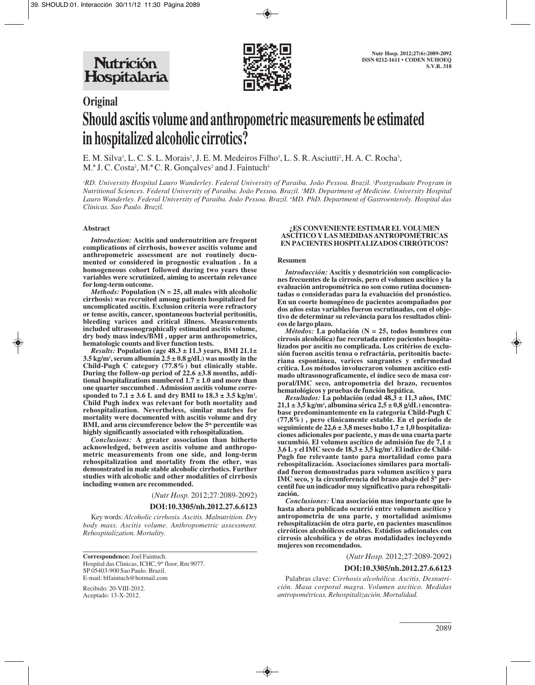

# **Original Should ascitis volume and anthropometric measurements be estimated in hospitalized alcoholic cirrotics?**

E. M. Silva<sup>1</sup>, L. C. S. L. Morais<sup>2</sup>, J. E. M. Medeiros Filho<sup>3</sup>, L. S. R. Asciutti<sup>2</sup>, H. A. C. Rocha<sup>3</sup>, M.<sup>a</sup> J. C. Costa<sup>2</sup>, M.<sup>a</sup> C. R. Gonçalves<sup>2</sup> and J. Faintuch<sup>4</sup>

*1 RD. University Hospital Lauro Wanderley. Federal University of Paraiba. João Pessoa. Brazil. 2 Postgraduate Program in Nutritional Sciences. Federal University of Paraiba. João Pessoa. Brazil. 3 MD. Department of Medicine. University Hospital Lauro Wanderley. Federal University of Paraiba. João Pessoa. Brazil. 4 MD. PhD. Department of Gastroenteroly. Hospital das Clinicas. Sao Paulo. Brazil.*

### **Abstract**

*Introduction:* **Ascitis and undernutrition are frequent complications of cirrhosis, however ascitis volume and anthropometric assessment are not routinely documented or considered in prognostic evaluation . In a homogeneous cohort followed during two years these variables were scrutinized, aiming to ascertain relevance for long-term outcome.** 

*Methods:* **Population (N = 25, all males with alcoholic cirrhosis) was recruited among patients hospitalized for uncomplicated ascitis. Exclusion criteria were refractory or tense ascitis, cancer, spontaneous bacterial peritonitis, bleeding varices and critical illness. Measurements included ultrasonographically estimated ascitis volume, dry body mass index/BMI , upper arm anthropometrics, hematologic counts and liver function tests.**

*Results:* **Population (age 48.3 ± 11.3 years, BMI 21.1± 3.5 kg/m2 , serum albumin 2.5 ± 0.8 g/dL) was mostly in the Child-Pugh C category (77.8%) but clinically stable. During the follow-up period of 22.6 ±3.8 months, additional hospitalizations numbered 1.7 ± 1.0 and more than one quarter succumbed . Admission ascitis volume corresponded to 7.1 ± 3.6 L and dry BMI to 18.3 ± 3.5 kg/m2 . Child Pugh index was relevant for both mortality and rehospitalization. Nevertheless, similar matches for mortality were documented with ascitis volume and dry BMI, and arm circumference below the 5th percentile was highly significantly associated with rehospitalization.**

*Conclusions:* **A greater association than hitherto acknowledged, between ascitis volume and anthropometric measurements from one side, and long-term rehospitalization and mortality from the other, was demonstrated in male stable alcoholic cirrhotics. Further studies with alcoholic and other modalities of cirrhosis including women are recommended.**

(*Nutr Hosp.* 2012;27:2089-2092)

## **DOI:10.3305/nh.2012.27.6.6123**

Key words: *Alcoholic cirrhosis. Ascitis. Malnutrition. Dry body mass. Ascitis volume. Anthropometric assessment. Rehospitalization. Mortality.*

**Correspondence:** Joel Faintuch. Hospital das Clinicas, ICHC, 9<sup>th</sup> floor, Rm 9077. SP 05403-900 Sao Paulo. Brazil. E-mail: blfaintuch@hotmail.com

Recibido: 20-VIII-2012. Aceptado: 13-X-2012.

#### **¿ES CONVENIENTE ESTIMAR EL VOLUMEN ASCÍTICO Y LAS MEDIDAS ANTROPOMÉTRICAS EN PACIENTES HOSPITALIZADOS CIRRÓTICOS?**

#### **Resumen**

*Introducción:* **Ascitis y desnutrición son complicaciones frecuentes de la cirrosis, pero el volumen ascítico y la evaluación antropométrica no son como rutina documentadas o consideradas para la evaluación del pronóstico. En un coorte homogéneo de pacientes acompañados por dos años estas variables fueron escrutinadas, con el objetivo de determinar su releváncia para los resultados clínicos de largo plazo.**

*Métodos:* **La población (N = 25, todos hombres con cirrosis alcohólica) fue recrutada entre pacientes hospitalizados por ascitis no complicada. Los critérios de exclusión fueron ascitis tensa o refractária, peritonitis bacteriana espontánea, varices sangrantes y enfermedad crítica. Los métodos involucraron volumen ascítico estimado ultrasonograficamente, el índice seco de masa corporal/IMC seco, antropometria del brazo, recuentos hematológicos y pruebas de función hepática.**

*Resultados:* **La población (edad 48,3 ± 11,3 años, IMC 21,1 ± 3,5 kg/m2 , albumina sérica 2,5 ± 0,8 g/dL) encontrabase predominantemente en la categoria Child-Pugh C (77,8%) , pero clinicamente estable. En el período de seguimiente de 22,6 ± 3,8 meses hubo 1,7 ± 1,0 hospitalizaciones adicionales por paciente, y mas de una cuarta parte sucumbió. El volumen ascítico de admisión fue de 7,1 ± 3,6 L y el IMC seco de 18,3 ± 3,5 kg/m2 . El indice de Child-Pugh fue relevante tanto para mortalidad como para rehospitalización. Asociaciones similares para mortalidad fueron demonstradas para volumen ascítico y para IMC seco, y la circunferencia del brazo abajo del 5º percentil fue un indicador muy significativo para rehospitalización.**

*Conclusiones:* **Una asociación mas importante que lo hasta ahora publicado ocurrió entre volumen ascítico y antropometria de una parte, y mortalidad asimismo rehospitalización de otra parte, en pacientes masculinos cirróticos alcohólicos estables. Estúdios adicionales con cirrosis alcohólica y de otras modalidades incluyendo mujeres son recomendados.**

(*Nutr Hosp.* 2012;27:2089-2092)

#### **DOI:10.3305/nh.2012.27.6.6123**

Palabras clave: *Cirrhosis alcohólica. Ascitis. Desnutrición. Masa corporal magra. Volumen ascítico. Medidas antropométricas. Rehospitalización. Mortalidad.*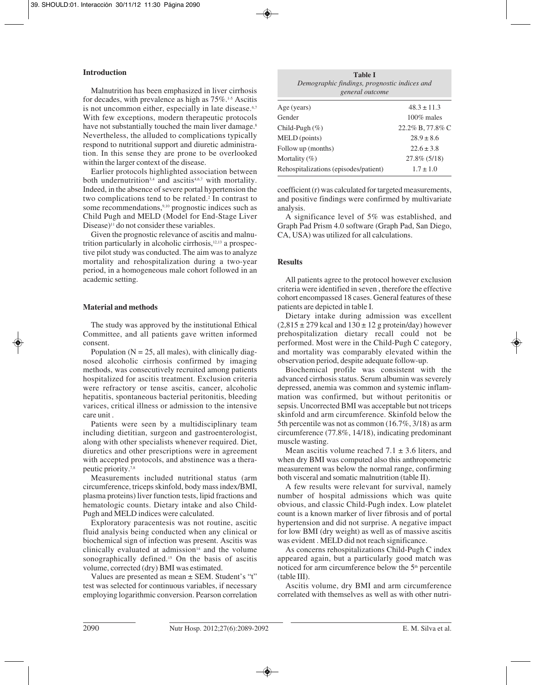# **Introduction**

Malnutrition has been emphasized in liver cirrhosis for decades, with prevalence as high as  $75\%$ .<sup>1-5</sup> Ascitis is not uncommon either, especially in late disease.<sup>6,7</sup> With few exceptions, modern therapeutic protocols have not substantially touched the main liver damage.<sup>8</sup> Nevertheless, the alluded to complications typically respond to nutritional support and diuretic administration. In this sense they are prone to be overlooked within the larger context of the disease.

Earlier protocols highlighted association between both undernutrition<sup>3,4</sup> and ascitis<sup>4,6,7</sup> with mortality. Indeed, in the absence of severe portal hypertension the two complications tend to be related.<sup>2</sup> In contrast to some recommendations,<sup>9,10</sup> prognostic indices such as Child Pugh and MELD (Model for End-Stage Liver Disease)<sup>11</sup> do not consider these variables.

Given the prognostic relevance of ascitis and malnutrition particularly in alcoholic cirrhosis, $12,13$  a prospective pilot study was conducted. The aim was to analyze mortality and rehospitalization during a two-year period, in a homogeneous male cohort followed in an academic setting.

# **Material and methods**

The study was approved by the institutional Ethical Committee, and all patients gave written informed consent.

Population ( $N = 25$ , all males), with clinically diagnosed alcoholic cirrhosis confirmed by imaging methods, was consecutively recruited among patients hospitalized for ascitis treatment. Exclusion criteria were refractory or tense ascitis, cancer, alcoholic hepatitis, spontaneous bacterial peritonitis, bleeding varices, critical illness or admission to the intensive care unit .

Patients were seen by a multidisciplinary team including dietitian, surgeon and gastroenterologist, along with other specialists whenever required. Diet, diuretics and other prescriptions were in agreement with accepted protocols, and abstinence was a therapeutic priority.7,8

Measurements included nutritional status (arm circumference, triceps skinfold, body mass index/BMI, plasma proteins) liver function tests, lipid fractions and hematologic counts. Dietary intake and also Child-Pugh and MELD indices were calculated.

Exploratory paracentesis was not routine, ascitic fluid analysis being conducted when any clinical or biochemical sign of infection was present. Ascitis was clinically evaluated at admission<sup>14</sup> and the volume sonographically defined.<sup>15</sup> On the basis of ascitis volume, corrected (dry) BMI was estimated.

Values are presented as mean ± SEM. Student's "t" test was selected for continuous variables, if necessary employing logarithmic conversion. Pearson correlation

| <b>Table I</b><br>Demographic findings, prognostic indices and<br>general outcome |                  |  |  |
|-----------------------------------------------------------------------------------|------------------|--|--|
| Age (years)                                                                       | $48.3 \pm 11.3$  |  |  |
| Gender                                                                            | $100\%$ males    |  |  |
| Child-Pugh $(\%)$                                                                 | 22.2% B, 77.8% C |  |  |
| MELD (points)                                                                     | $28.9 \pm 8.6$   |  |  |
| Follow up (months)                                                                | $22.6 \pm 3.8$   |  |  |
| Mortality $(\% )$                                                                 | $27.8\%$ (5/18)  |  |  |
| Rehospitalizations (episodes/patient)                                             | $1.7 \pm 1.0$    |  |  |

coefficient (r) was calculated for targeted measurements, and positive findings were confirmed by multivariate analysis.

A significance level of 5% was established, and Graph Pad Prism 4.0 software (Graph Pad, San Diego, CA, USA) was utilized for all calculations.

# **Results**

All patients agree to the protocol however exclusion criteria were identified in seven , therefore the effective cohort encompassed 18 cases. General features of these patients are depicted in table I.

Dietary intake during admission was excellent  $(2,815 \pm 279 \text{ kcal}$  and  $130 \pm 12 \text{ g}$  protein/day) however prehospitalization dietary recall could not be performed. Most were in the Child-Pugh C category, and mortality was comparably elevated within the observation period, despite adequate follow-up.

Biochemical profile was consistent with the advanced cirrhosis status. Serum albumin was severely depressed, anemia was common and systemic inflammation was confirmed, but without peritonitis or sepsis. Uncorrected BMI was acceptable but not triceps skinfold and arm circumference. Skinfold below the 5th percentile was not as common (16.7%, 3/18) as arm circumference (77.8%, 14/18), indicating predominant muscle wasting.

Mean ascitis volume reached  $7.1 \pm 3.6$  liters, and when dry BMI was computed also this anthropometric measurement was below the normal range, confirming both visceral and somatic malnutrition (table II).

A few results were relevant for survival, namely number of hospital admissions which was quite obvious, and classic Child-Pugh index. Low platelet count is a known marker of liver fibrosis and of portal hypertension and did not surprise. A negative impact for low BMI (dry weight) as well as of massive ascitis was evident . MELD did not reach significance.

As concerns rehospitalizations Child-Pugh C index appeared again, but a particularly good match was noticed for arm circumference below the 5<sup>th</sup> percentile (table III).

Ascitis volume, dry BMI and arm circumference correlated with themselves as well as with other nutri-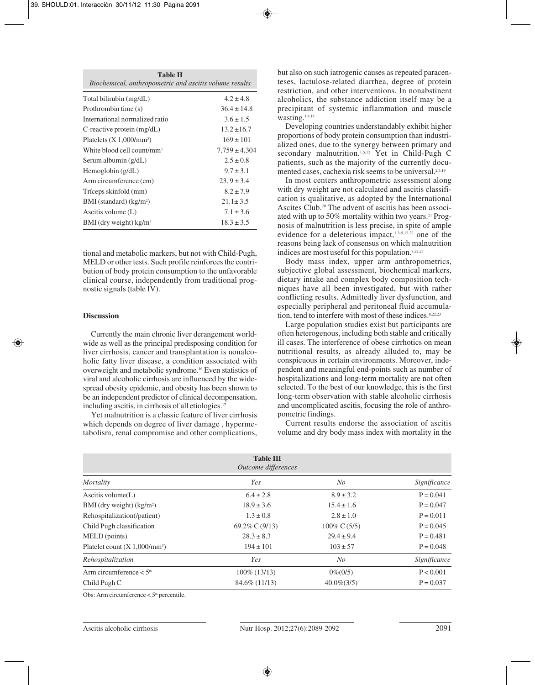| <b>Table II</b><br>Biochemical, anthropometric and ascitis volume results |  |  |  |
|---------------------------------------------------------------------------|--|--|--|
| $4.2 \pm 4.8$                                                             |  |  |  |
| $36.4 \pm 14.8$                                                           |  |  |  |
| $3.6 \pm 1.5$                                                             |  |  |  |
| $13.2 \pm 16.7$                                                           |  |  |  |
| $169 \pm 101$                                                             |  |  |  |
| $7,759 \pm 4,304$                                                         |  |  |  |
| $2.5 \pm 0.8$                                                             |  |  |  |
| $9.7 \pm 3.1$                                                             |  |  |  |
| $23.9 \pm 3.4$                                                            |  |  |  |
| $8.2 \pm 7.9$                                                             |  |  |  |
| $21.1 \pm 3.5$                                                            |  |  |  |
| $7.1 \pm 3.6$                                                             |  |  |  |
| $18.3 + 3.5$                                                              |  |  |  |
|                                                                           |  |  |  |

tional and metabolic markers, but not with Child-Pugh, MELD or other tests. Such profile reinforces the contribution of body protein consumption to the unfavorable clinical course, independently from traditional prognostic signals (table IV).

# **Discussion**

Currently the main chronic liver derangement worldwide as well as the principal predisposing condition for liver cirrhosis, cancer and transplantation is nonalcoholic fatty liver disease, a condition associated with overweight and metabolic syndrome.16 Even statistics of viral and alcoholic cirrhosis are influenced by the widespread obesity epidemic, and obesity has been shown to be an independent predictor of clinical decompensation, including ascitis, in cirrhosis of all etiologies.<sup>17</sup>

Yet malnutrition is a classic feature of liver cirrhosis which depends on degree of liver damage , hypermetabolism, renal compromise and other complications, but also on such iatrogenic causes as repeated paracenteses, lactulose-related diarrhea, degree of protein restriction, and other interventions. In nonabstinent alcoholics, the substance addiction itself may be a precipitant of systemic inflammation and muscle wasting.<sup>1,8,18</sup>

Developing countries understandably exhibit higher proportions of body protein consumption than industrialized ones, due to the synergy between primary and secondary malnutrition.<sup>1,5,12</sup> Yet in Child-Pugh C patients, such as the majority of the currently documented cases, cachexia risk seems to be universal.<sup>2,5,19</sup>

In most centers anthropometric assessment along with dry weight are not calculated and ascitis classification is qualitative, as adopted by the International Ascites Club.20 The advent of ascitis has been associated with up to 50% mortality within two years.<sup>21</sup> Prognosis of malnutrition is less precise, in spite of ample evidence for a deleterious impact,<sup>1,3-5,12,22</sup> one of the reasons being lack of consensus on which malnutrition indices are most useful for this population.8,22,23

Body mass index, upper arm anthropometrics, subjective global assessment, biochemical markers, dietary intake and complex body composition techniques have all been investigated, but with rather conflicting results. Admittedly liver dysfunction, and especially peripheral and peritoneal fluid accumulation, tend to interfere with most of these indices.<sup>8,22,23</sup>

Large population studies exist but participants are often heterogenous, including both stable and critically ill cases. The interference of obese cirrhotics on mean nutritional results, as already alluded to, may be conspicuous in certain environments. Moreover, independent and meaningful end-points such as number of hospitalizations and long-term mortality are not often selected. To the best of our knowledge, this is the first long-term observation with stable alcoholic cirrhosis and uncomplicated ascitis, focusing the role of anthropometric findings.

Current results endorse the association of ascitis volume and dry body mass index with mortality in the

| <b>Table III</b><br>Outcome differences |                   |                         |              |  |  |
|-----------------------------------------|-------------------|-------------------------|--------------|--|--|
| Mortality                               | Yes               | No                      | Significance |  |  |
| Ascitis volume $(L)$                    | $6.4 \pm 2.8$     | $8.9 \pm 3.2$           | $P = 0.041$  |  |  |
| BMI (dry weight) (kg/m <sup>2</sup> )   | $18.9 \pm 3.6$    | $15.4 \pm 1.6$          | $P = 0.047$  |  |  |
| Rehospitalization(/patient)             | $1.3 \pm 0.8$     | $2.8 \pm 1.0$           | $P = 0.011$  |  |  |
| Child Pugh classification               | 69.2\% C $(9/13)$ | $100\% \text{ C} (5/5)$ | $P = 0.045$  |  |  |
| MELD (points)                           | $28.3 \pm 8.3$    | $29.4 \pm 9.4$          | $P = 0.481$  |  |  |
| Platelet count $(X 1,000/mm^3)$         | $194 \pm 101$     | $103 \pm 57$            | $P = 0.048$  |  |  |
| Rehospitalization                       | Yes               | No                      | Significance |  |  |
| Arm circumference $< 5th$               | $100\%$ (13/13)   | $0\% (0/5)$             | P < 0.001    |  |  |
| Child Pugh C                            | $84.6\%$ (11/13)  | $40.0\% (3/5)$          | $P = 0.037$  |  |  |

Obs: Arm circumference  $< 5<sup>th</sup>$  percentile.